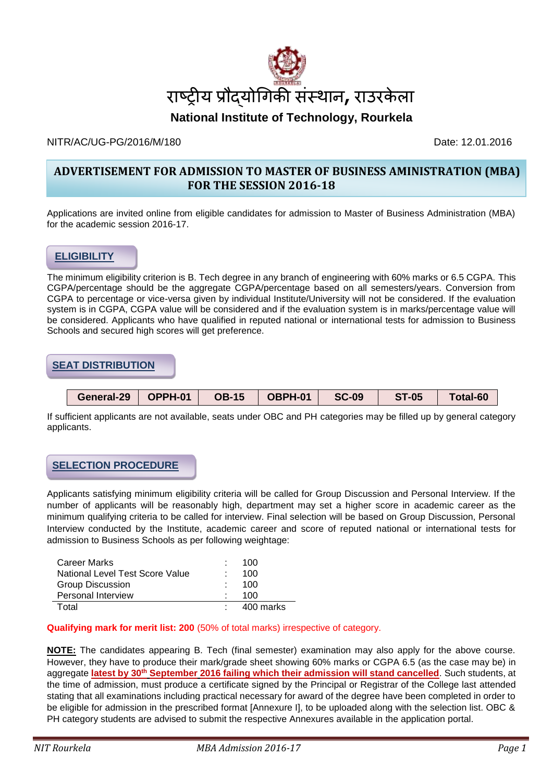

#### NITR/AC/UG-PG/2016/M/180 Date: 12.01.2016

# **ADVERTISEMENT FOR ADMISSION TO MASTER OF BUSINESS AMINISTRATION (MBA) FOR THE SESSION 2016-18**

Applications are invited online from eligible candidates for admission to Master of Business Administration (MBA) for the academic session 2016-17.

### **ELIGIBILITY**

The minimum eligibility criterion is B. Tech degree in any branch of engineering with 60% marks or 6.5 CGPA. This CGPA/percentage should be the aggregate CGPA/percentage based on all semesters/years. Conversion from CGPA to percentage or vice-versa given by individual Institute/University will not be considered. If the evaluation system is in CGPA, CGPA value will be considered and if the evaluation system is in marks/percentage value will be considered. Applicants who have qualified in reputed national or international tests for admission to Business Schools and secured high scores will get preference.

#### **SEAT DISTRIBUTION**

| General-29 | OPPH-01 | <b>OB-15</b> | OBPH-01 | <b>SC-09</b> | <b>ST-05</b> | Total-60 |
|------------|---------|--------------|---------|--------------|--------------|----------|

If sufficient applicants are not available, seats under OBC and PH categories may be filled up by general category applicants.

# **SELECTION PROCEDURE**

Applicants satisfying minimum eligibility criteria will be called for Group Discussion and Personal Interview. If the number of applicants will be reasonably high, department may set a higher score in academic career as the minimum qualifying criteria to be called for interview. Final selection will be based on Group Discussion, Personal Interview conducted by the Institute, academic career and score of reputed national or international tests for admission to Business Schools as per following weightage:

| Career Marks                    |    | 100       |
|---------------------------------|----|-----------|
| National Level Test Score Value | ÷. | 100       |
| Group Discussion                |    | 100       |
| <b>Personal Interview</b>       |    | 100       |
| Total                           |    | 400 marks |

#### **Qualifying mark for merit list: 200** (50% of total marks) irrespective of category.

**NOTE:** The candidates appearing B. Tech (final semester) examination may also apply for the above course. However, they have to produce their mark/grade sheet showing 60% marks or CGPA 6.5 (as the case may be) in aggregate **latest by 30th September 2016 failing which their admission will stand cancelled**. Such students, at the time of admission, must produce a certificate signed by the Principal or Registrar of the College last attended stating that all examinations including practical necessary for award of the degree have been completed in order to be eligible for admission in the prescribed format [Annexure I], to be uploaded along with the selection list. OBC & PH category students are advised to submit the respective Annexures available in the application portal.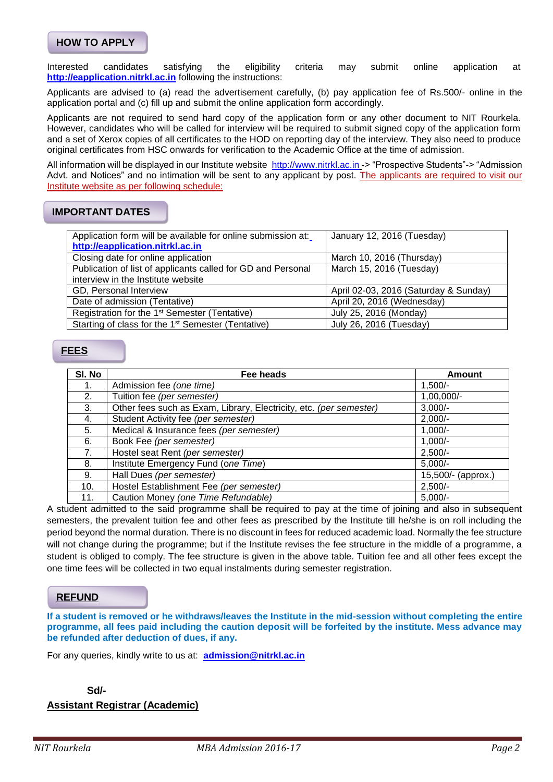#### **HOW TO APPLY**

Interested candidates satisfying the eligibility criteria may submit online application at **[http://eapplication.nitrkl.ac.in](http://eapplication.nitrkl.ac.i/)** following the instructions:

Applicants are advised to (a) read the advertisement carefully, (b) pay application fee of Rs.500/- online in the application portal and (c) fill up and submit the online application form accordingly.

Applicants are not required to send hard copy of the application form or any other document to NIT Rourkela. However, candidates who will be called for interview will be required to submit signed copy of the application form and a set of Xerox copies of all certificates to the HOD on reporting day of the interview. They also need to produce original certificates from HSC onwards for verification to the Academic Office at the time of admission.

All information will be displayed in our Institute website [http://www.nitrkl.ac.in](http://www.nitrkl.ac.in/) -> "Prospective Students"-> "Admission Advt. and Notices" and no intimation will be sent to any applicant by post. The applicants are required to visit our Institute website as per following schedule:

#### **IMPORTANT DATES**

| Application form will be available for online submission at:   | January 12, 2016 (Tuesday)            |  |
|----------------------------------------------------------------|---------------------------------------|--|
| http://eapplication.nitrkl.ac.in                               |                                       |  |
| Closing date for online application                            | March 10, 2016 (Thursday)             |  |
| Publication of list of applicants called for GD and Personal   | March 15, 2016 (Tuesday)              |  |
| interview in the Institute website                             |                                       |  |
| GD, Personal Interview                                         | April 02-03, 2016 (Saturday & Sunday) |  |
| Date of admission (Tentative)                                  | April 20, 2016 (Wednesday)            |  |
| Registration for the 1 <sup>st</sup> Semester (Tentative)      | July 25, 2016 (Monday)                |  |
| Starting of class for the 1 <sup>st</sup> Semester (Tentative) | July 26, 2016 (Tuesday)               |  |

#### **FEES**

| SI. No | Fee heads                                                          | Amount             |
|--------|--------------------------------------------------------------------|--------------------|
|        | Admission fee (one time)                                           | $1,500/-$          |
| 2.     | Tuition fee (per semester)                                         | $1,00,000/-$       |
| 3.     | Other fees such as Exam, Library, Electricity, etc. (per semester) | $3,000/-$          |
| 4.     | Student Activity fee (per semester)                                | $2,000/-$          |
| 5.     | Medical & Insurance fees (per semester)                            | $1,000/-$          |
| 6.     | Book Fee (per semester)                                            | $1,000/-$          |
| 7.     | Hostel seat Rent (per semester)                                    | $2,500/-$          |
| 8.     | Institute Emergency Fund (one Time)                                | $5,000/-$          |
| 9.     | Hall Dues (per semester)                                           | 15,500/- (approx.) |
| 10.    | Hostel Establishment Fee (per semester)                            | $2,500/-$          |
| 11.    | Caution Money (one Time Refundable)                                | $5,000/-$          |

A student admitted to the said programme shall be required to pay at the time of joining and also in subsequent semesters, the prevalent tuition fee and other fees as prescribed by the Institute till he/she is on roll including the period beyond the normal duration. There is no discount in fees for reduced academic load. Normally the fee structure will not change during the programme; but if the Institute revises the fee structure in the middle of a programme, a student is obliged to comply. The fee structure is given in the above table. Tuition fee and all other fees except the one time fees will be collected in two equal instalments during semester registration.

#### **REFUND**

**If a student is removed or he withdraws/leaves the Institute in the mid-session without completing the entire programme, all fees paid including the caution deposit will be forfeited by the institute. Mess advance may be refunded after deduction of dues, if any.**

For any queries, kindly write to us at: **[admission@nitrkl.ac.in](mailto:admission@nitrkl.ac.in)**

**Sd/-**

**Assistant Registrar (Academic)**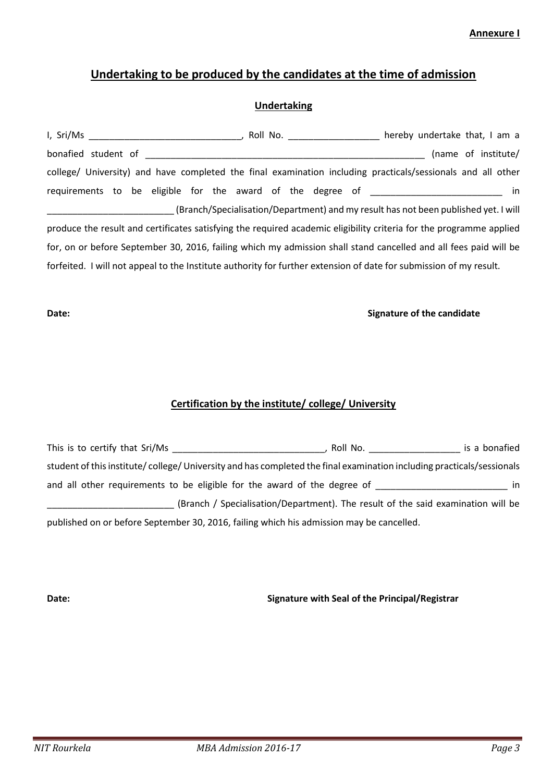**Annexure I** 

# **Undertaking to be produced by the candidates at the time of admission**

#### **Undertaking**

| I, Sri/Ms           |                                                                                                                    | Roll No. | hereby undertake that, I am a                                                                                       |
|---------------------|--------------------------------------------------------------------------------------------------------------------|----------|---------------------------------------------------------------------------------------------------------------------|
| bonafied student of |                                                                                                                    |          | (name of institute/                                                                                                 |
|                     |                                                                                                                    |          | college/ University) and have completed the final examination including practicals/sessionals and all other         |
|                     | requirements to be eligible for the award of the degree of                                                         |          | in                                                                                                                  |
|                     |                                                                                                                    |          | (Branch/Specialisation/Department) and my result has not been published yet. I will                                 |
|                     |                                                                                                                    |          | produce the result and certificates satisfying the required academic eligibility criteria for the programme applied |
|                     |                                                                                                                    |          | for, on or before September 30, 2016, failing which my admission shall stand cancelled and all fees paid will be    |
|                     | forfeited. I will not appeal to the Institute authority for further extension of date for submission of my result. |          |                                                                                                                     |

### **Date: Signature of the candidate**

# **Certification by the institute/ college/ University**

| This is to certify that Sri/Ms                                                                                       | Roll No.                                                                         | is a bonafied |
|----------------------------------------------------------------------------------------------------------------------|----------------------------------------------------------------------------------|---------------|
| student of this institute/college/University and has completed the final examination including practicals/sessionals |                                                                                  |               |
| and all other requirements to be eligible for the award of the degree of                                             |                                                                                  | in.           |
|                                                                                                                      | (Branch / Specialisation/Department). The result of the said examination will be |               |
| published on or before September 30, 2016, failing which his admission may be cancelled.                             |                                                                                  |               |

# **Date: Signature with Seal of the Principal/Registrar**